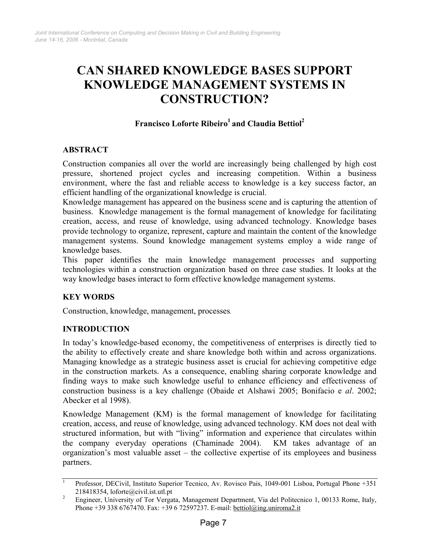# CAN SHARED KNOWLEDGE BASES SUPPORT KNOWLEDGE MANAGEMENT SYSTEMS IN CONSTRUCTION?

## Francisco Loforte Ribeiro<sup>1</sup> and Claudia Bettiol<sup>2</sup>

## ABSTRACT

Construction companies all over the world are increasingly being challenged by high cost pressure, shortened project cycles and increasing competition. Within a business environment, where the fast and reliable access to knowledge is a key success factor, an efficient handling of the organizational knowledge is crucial.

Knowledge management has appeared on the business scene and is capturing the attention of business. Knowledge management is the formal management of knowledge for facilitating creation, access, and reuse of knowledge, using advanced technology. Knowledge bases provide technology to organize, represent, capture and maintain the content of the knowledge management systems. Sound knowledge management systems employ a wide range of knowledge bases.

This paper identifies the main knowledge management processes and supporting technologies within a construction organization based on three case studies. It looks at the way knowledge bases interact to form effective knowledge management systems.

## KEY WORDS

Construction, knowledge, management, processes.

## INTRODUCTION

In today's knowledge-based economy, the competitiveness of enterprises is directly tied to the ability to effectively create and share knowledge both within and across organizations. Managing knowledge as a strategic business asset is crucial for achieving competitive edge in the construction markets. As a consequence, enabling sharing corporate knowledge and finding ways to make such knowledge useful to enhance efficiency and effectiveness of construction business is a key challenge (Obaide et Alshawi 2005; Bonifacio e al. 2002; Abecker et al 1998).

Knowledge Management (KM) is the formal management of knowledge for facilitating creation, access, and reuse of knowledge, using advanced technology. KM does not deal with structured information, but with "living" information and experience that circulates within the company everyday operations (Chaminade 2004). KM takes advantage of an organization's most valuable asset – the collective expertise of its employees and business partners.

<sup>1</sup> Professor, DECivil, Instituto Superior Tecnico, Av. Rovisco Pais, 1049-001 Lisboa, Portugal Phone +351 218418354, loforte@civil.ist.utl.pt

<sup>2</sup> Engineer, University of Tor Vergata, Management Department, Via del Politecnico 1, 00133 Rome, Italy, Phone +39 338 6767470. Fax: +39 6 72597237. E-mail: bettiol@ing.uniroma2.it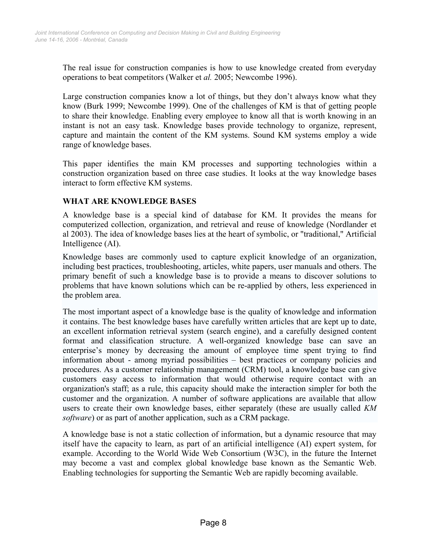The real issue for construction companies is how to use knowledge created from everyday operations to beat competitors (Walker et al. 2005; Newcombe 1996).

Large construction companies know a lot of things, but they don't always know what they know (Burk 1999; Newcombe 1999). One of the challenges of KM is that of getting people to share their knowledge. Enabling every employee to know all that is worth knowing in an instant is not an easy task. Knowledge bases provide technology to organize, represent, capture and maintain the content of the KM systems. Sound KM systems employ a wide range of knowledge bases.

This paper identifies the main KM processes and supporting technologies within a construction organization based on three case studies. It looks at the way knowledge bases interact to form effective KM systems.

## WHAT ARE KNOWLEDGE BASES

A knowledge base is a special kind of database for KM. It provides the means for computerized collection, organization, and retrieval and reuse of knowledge (Nordlander et al 2003). The idea of knowledge bases lies at the heart of symbolic, or "traditional," Artificial Intelligence (AI).

Knowledge bases are commonly used to capture explicit knowledge of an organization, including best practices, troubleshooting, articles, white papers, user manuals and others. The primary benefit of such a knowledge base is to provide a means to discover solutions to problems that have known solutions which can be re-applied by others, less experienced in the problem area.

The most important aspect of a knowledge base is the quality of knowledge and information it contains. The best knowledge bases have carefully written articles that are kept up to date, an excellent information retrieval system (search engine), and a carefully designed content format and classification structure. A well-organized knowledge base can save an enterprise's money by decreasing the amount of employee time spent trying to find information about - among myriad possibilities – best practices or company policies and procedures. As a customer relationship management (CRM) tool, a knowledge base can give customers easy access to information that would otherwise require contact with an organization's staff; as a rule, this capacity should make the interaction simpler for both the customer and the organization. A number of software applications are available that allow users to create their own knowledge bases, either separately (these are usually called KM software) or as part of another application, such as a CRM package.

A knowledge base is not a static collection of information, but a dynamic resource that may itself have the capacity to learn, as part of an artificial intelligence (AI) expert system, for example. According to the World Wide Web Consortium (W3C), in the future the Internet may become a vast and complex global knowledge base known as the Semantic Web. Enabling technologies for supporting the Semantic Web are rapidly becoming available.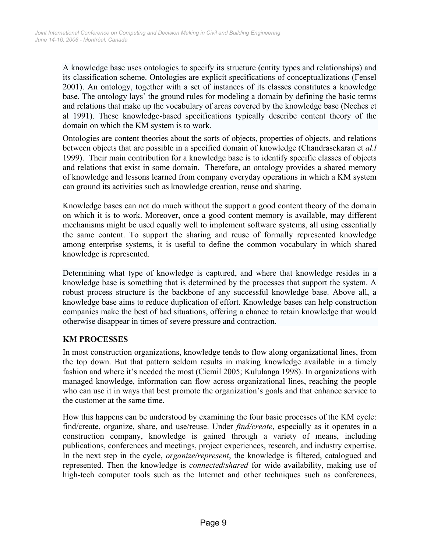A knowledge base uses ontologies to specify its structure (entity types and relationships) and its classification scheme. Ontologies are explicit specifications of conceptualizations (Fensel 2001). An ontology, together with a set of instances of its classes constitutes a knowledge base. The ontology lays' the ground rules for modeling a domain by defining the basic terms and relations that make up the vocabulary of areas covered by the knowledge base (Neches et al 1991). These knowledge-based specifications typically describe content theory of the domain on which the KM system is to work.

Ontologies are content theories about the sorts of objects, properties of objects, and relations between objects that are possible in a specified domain of knowledge (Chandrasekaran et al.l 1999). Their main contribution for a knowledge base is to identify specific classes of objects and relations that exist in some domain. Therefore, an ontology provides a shared memory of knowledge and lessons learned from company everyday operations in which a KM system can ground its activities such as knowledge creation, reuse and sharing.

Knowledge bases can not do much without the support a good content theory of the domain on which it is to work. Moreover, once a good content memory is available, may different mechanisms might be used equally well to implement software systems, all using essentially the same content. To support the sharing and reuse of formally represented knowledge among enterprise systems, it is useful to define the common vocabulary in which shared knowledge is represented.

Determining what type of knowledge is captured, and where that knowledge resides in a knowledge base is something that is determined by the processes that support the system. A robust process structure is the backbone of any successful knowledge base. Above all, a knowledge base aims to reduce duplication of effort. Knowledge bases can help construction companies make the best of bad situations, offering a chance to retain knowledge that would otherwise disappear in times of severe pressure and contraction.

## KM PROCESSES

In most construction organizations, knowledge tends to flow along organizational lines, from the top down. But that pattern seldom results in making knowledge available in a timely fashion and where it's needed the most (Cicmil 2005; Kululanga 1998). In organizations with managed knowledge, information can flow across organizational lines, reaching the people who can use it in ways that best promote the organization's goals and that enhance service to the customer at the same time.

How this happens can be understood by examining the four basic processes of the KM cycle: find/create, organize, share, and use/reuse. Under *find/create*, especially as it operates in a construction company, knowledge is gained through a variety of means, including publications, conferences and meetings, project experiences, research, and industry expertise. In the next step in the cycle, *organize/represent*, the knowledge is filtered, catalogued and represented. Then the knowledge is *connected/shared* for wide availability, making use of high-tech computer tools such as the Internet and other techniques such as conferences,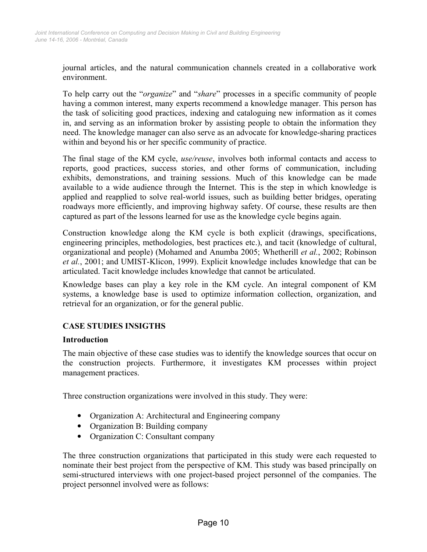journal articles, and the natural communication channels created in a collaborative work environment.

To help carry out the "*organize*" and "*share*" processes in a specific community of people having a common interest, many experts recommend a knowledge manager. This person has the task of soliciting good practices, indexing and cataloguing new information as it comes in, and serving as an information broker by assisting people to obtain the information they need. The knowledge manager can also serve as an advocate for knowledge-sharing practices within and beyond his or her specific community of practice.

The final stage of the KM cycle, *use/reuse*, involves both informal contacts and access to reports, good practices, success stories, and other forms of communication, including exhibits, demonstrations, and training sessions. Much of this knowledge can be made available to a wide audience through the Internet. This is the step in which knowledge is applied and reapplied to solve real-world issues, such as building better bridges, operating roadways more efficiently, and improving highway safety. Of course, these results are then captured as part of the lessons learned for use as the knowledge cycle begins again.

Construction knowledge along the KM cycle is both explicit (drawings, specifications, engineering principles, methodologies, best practices etc.), and tacit (knowledge of cultural, organizational and people) (Mohamed and Anumba 2005; Whetherill et al., 2002; Robinson et al., 2001; and UMIST-Klicon, 1999). Explicit knowledge includes knowledge that can be articulated. Tacit knowledge includes knowledge that cannot be articulated.

Knowledge bases can play a key role in the KM cycle. An integral component of KM systems, a knowledge base is used to optimize information collection, organization, and retrieval for an organization, or for the general public.

## CASE STUDIES INSIGTHS

#### Introduction

The main objective of these case studies was to identify the knowledge sources that occur on the construction projects. Furthermore, it investigates KM processes within project management practices.

Three construction organizations were involved in this study. They were:

- Organization A: Architectural and Engineering company
- Organization B: Building company
- Organization C: Consultant company

The three construction organizations that participated in this study were each requested to nominate their best project from the perspective of KM. This study was based principally on semi-structured interviews with one project-based project personnel of the companies. The project personnel involved were as follows: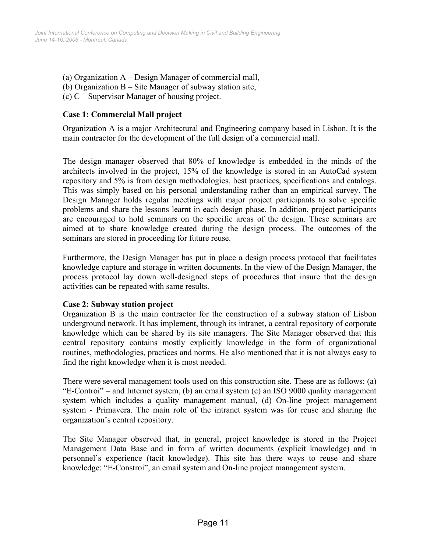- (a) Organization A Design Manager of commercial mall,
- (b) Organization B Site Manager of subway station site,
- (c) C Supervisor Manager of housing project.

## Case 1: Commercial Mall project

Organization A is a major Architectural and Engineering company based in Lisbon. It is the main contractor for the development of the full design of a commercial mall.

The design manager observed that 80% of knowledge is embedded in the minds of the architects involved in the project, 15% of the knowledge is stored in an AutoCad system repository and 5% is from design methodologies, best practices, specifications and catalogs. This was simply based on his personal understanding rather than an empirical survey. The Design Manager holds regular meetings with major project participants to solve specific problems and share the lessons learnt in each design phase. In addition, project participants are encouraged to hold seminars on the specific areas of the design. These seminars are aimed at to share knowledge created during the design process. The outcomes of the seminars are stored in proceeding for future reuse.

Furthermore, the Design Manager has put in place a design process protocol that facilitates knowledge capture and storage in written documents. In the view of the Design Manager, the process protocol lay down well-designed steps of procedures that insure that the design activities can be repeated with same results.

## Case 2: Subway station project

Organization B is the main contractor for the construction of a subway station of Lisbon underground network. It has implement, through its intranet, a central repository of corporate knowledge which can be shared by its site managers. The Site Manager observed that this central repository contains mostly explicitly knowledge in the form of organizational routines, methodologies, practices and norms. He also mentioned that it is not always easy to find the right knowledge when it is most needed.

There were several management tools used on this construction site. These are as follows: (a) "E-Controi" – and Internet system, (b) an email system (c) an ISO 9000 quality management system which includes a quality management manual, (d) On-line project management system - Primavera. The main role of the intranet system was for reuse and sharing the organization's central repository.

The Site Manager observed that, in general, project knowledge is stored in the Project Management Data Base and in form of written documents (explicit knowledge) and in personnel's experience (tacit knowledge). This site has there ways to reuse and share knowledge: "E-Constroi", an email system and On-line project management system.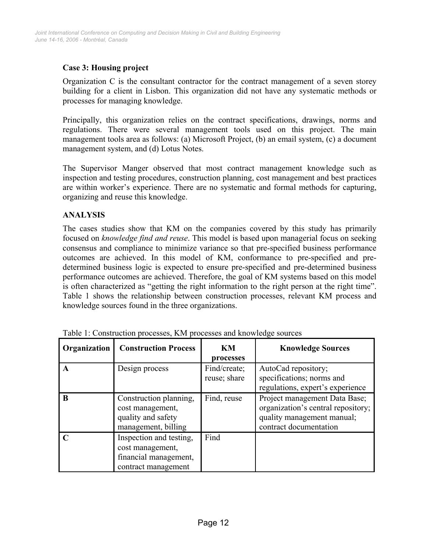## Case 3: Housing project

Organization C is the consultant contractor for the contract management of a seven storey building for a client in Lisbon. This organization did not have any systematic methods or processes for managing knowledge.

Principally, this organization relies on the contract specifications, drawings, norms and regulations. There were several management tools used on this project. The main management tools area as follows: (a) Microsoft Project, (b) an email system, (c) a document management system, and (d) Lotus Notes.

The Supervisor Manger observed that most contract management knowledge such as inspection and testing procedures, construction planning, cost management and best practices are within worker's experience. There are no systematic and formal methods for capturing, organizing and reuse this knowledge.

#### **ANALYSIS**

The cases studies show that KM on the companies covered by this study has primarily focused on knowledge find and reuse. This model is based upon managerial focus on seeking consensus and compliance to minimize variance so that pre-specified business performance outcomes are achieved. In this model of KM, conformance to pre-specified and predetermined business logic is expected to ensure pre-specified and pre-determined business performance outcomes are achieved. Therefore, the goal of KM systems based on this model is often characterized as "getting the right information to the right person at the right time". Table 1 shows the relationship between construction processes, relevant KM process and knowledge sources found in the three organizations.

| Organization | <b>Construction Process</b>                                                                 | KM<br>processes              | <b>Knowledge Sources</b>                                                                                                    |
|--------------|---------------------------------------------------------------------------------------------|------------------------------|-----------------------------------------------------------------------------------------------------------------------------|
|              | Design process                                                                              | Find/create;<br>reuse; share | AutoCad repository;<br>specifications; norms and<br>regulations, expert's experience                                        |
| B            | Construction planning,<br>cost management,<br>quality and safety<br>management, billing     | Find, reuse                  | Project management Data Base;<br>organization's central repository;<br>quality management manual;<br>contract documentation |
|              | Inspection and testing,<br>cost management,<br>financial management,<br>contract management | Find                         |                                                                                                                             |

Table 1: Construction processes, KM processes and knowledge sources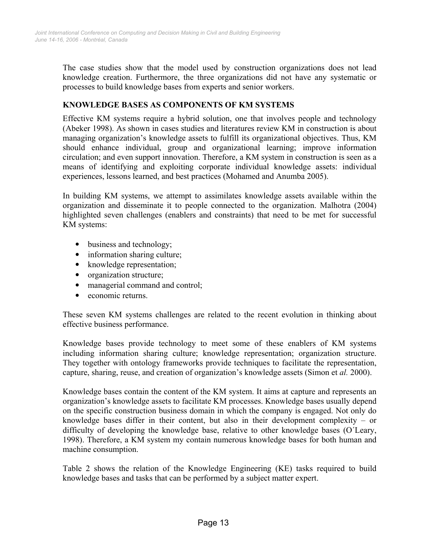The case studies show that the model used by construction organizations does not lead knowledge creation. Furthermore, the three organizations did not have any systematic or processes to build knowledge bases from experts and senior workers.

## KNOWLEDGE BASES AS COMPONENTS OF KM SYSTEMS

Effective KM systems require a hybrid solution, one that involves people and technology (Abeker 1998). As shown in cases studies and literatures review KM in construction is about managing organization's knowledge assets to fulfill its organizational objectives. Thus, KM should enhance individual, group and organizational learning; improve information circulation; and even support innovation. Therefore, a KM system in construction is seen as a means of identifying and exploiting corporate individual knowledge assets: individual experiences, lessons learned, and best practices (Mohamed and Anumba 2005).

In building KM systems, we attempt to assimilates knowledge assets available within the organization and disseminate it to people connected to the organization. Malhotra (2004) highlighted seven challenges (enablers and constraints) that need to be met for successful KM systems:

- business and technology;
- information sharing culture;
- knowledge representation;
- organization structure;
- managerial command and control;
- economic returns

These seven KM systems challenges are related to the recent evolution in thinking about effective business performance.

Knowledge bases provide technology to meet some of these enablers of KM systems including information sharing culture; knowledge representation; organization structure. They together with ontology frameworks provide techniques to facilitate the representation, capture, sharing, reuse, and creation of organization's knowledge assets (Simon et al. 2000).

Knowledge bases contain the content of the KM system. It aims at capture and represents an organization's knowledge assets to facilitate KM processes. Knowledge bases usually depend on the specific construction business domain in which the company is engaged. Not only do knowledge bases differ in their content, but also in their development complexity – or difficulty of developing the knowledge base, relative to other knowledge bases (O´Leary, 1998). Therefore, a KM system my contain numerous knowledge bases for both human and machine consumption.

Table 2 shows the relation of the Knowledge Engineering (KE) tasks required to build knowledge bases and tasks that can be performed by a subject matter expert.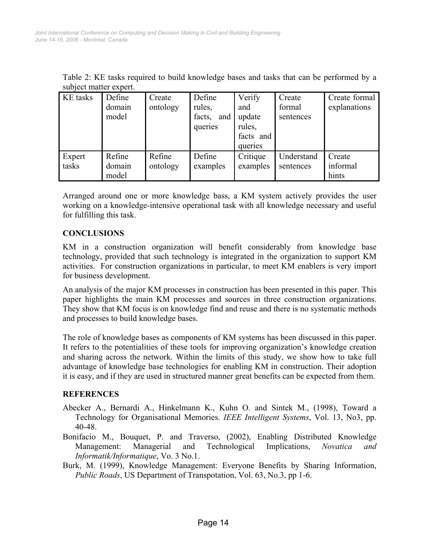| SUVICULIHALICI CAPCIL. |                           |                    |                                              |                                                           |                               |                               |  |  |
|------------------------|---------------------------|--------------------|----------------------------------------------|-----------------------------------------------------------|-------------------------------|-------------------------------|--|--|
| <b>KE</b> tasks        | Define<br>domain<br>model | Create<br>ontology | Define<br>rules,<br>facts,<br>and<br>queries | Verify<br>and<br>update<br>rules,<br>facts and<br>queries | Create<br>formal<br>sentences | Create formal<br>explanations |  |  |
| Expert<br>tasks        | Refine<br>domain<br>model | Refine<br>ontology | Define<br>examples                           | Critique<br>examples                                      | Understand<br>sentences       | Create<br>informal<br>hints   |  |  |

Table 2: KE tasks required to build knowledge bases and tasks that can be performed by a subject matter expert.

Arranged around one or more knowledge bass, a KM system actively provides the user working on a knowledge-intensive operational task with all knowledge necessary and useful for fulfilling this task.

## **CONCLUSIONS**

KM in a construction organization will benefit considerably from knowledge base technology, provided that such technology is integrated in the organization to support KM activities. For construction organizations in particular, to meet KM enablers is very import for business development.

An analysis of the major KM processes in construction has been presented in this paper. This paper highlights the main KM processes and sources in three construction organizations. They show that KM focus is on knowledge find and reuse and there is no systematic methods and processes to build knowledge bases.

The role of knowledge bases as components of KM systems has been discussed in this paper. It refers to the potentialities of these tools for improving organization's knowledge creation and sharing across the network. Within the limits of this study, we show how to take full advantage of knowledge base technologies for enabling KM in construction. Their adoption it is easy, and if they are used in structured manner great benefits can be expected from them.

## **REFERENCES**

- Abecker A., Bernardi A., Hinkelmann K., Kuhn O. and Sintek M., (1998), Toward a Technology for Organisational Memories. IEEE Intelligent Systems, Vol. 13, No3, pp. 40-48.
- Bonifacio M., Bouquet, P. and Traverso, (2002), Enabling Distributed Knowledge Management: Managerial and Technological Implications, Novatica and Informatik/Informatique, Vo. 3 No.1.
- Burk, M. (1999), Knowledge Management: Everyone Benefits by Sharing Information, Public Roads, US Department of Transpotation, Vol. 63, No.3, pp 1-6.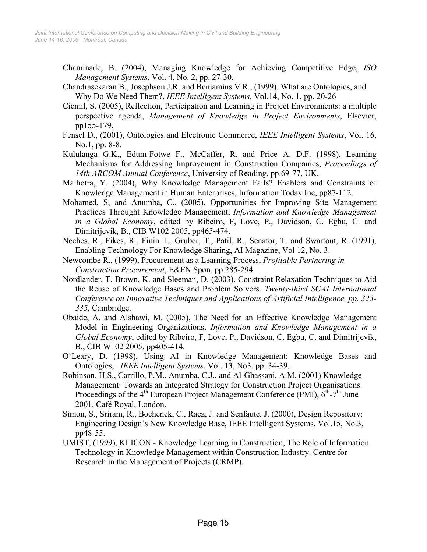- Chaminade, B. (2004), Managing Knowledge for Achieving Competitive Edge, ISO Management Systems, Vol. 4, No. 2, pp. 27-30.
- Chandrasekaran B., Josephson J.R. and Benjamins V.R., (1999). What are Ontologies, and Why Do We Need Them?, *IEEE Intelligent Systems*, Vol.14, No. 1, pp. 20-26
- Cicmil, S. (2005), Reflection, Participation and Learning in Project Environments: a multiple perspective agenda, Management of Knowledge in Project Environments, Elsevier, pp155-179.
- Fensel D., (2001), Ontologies and Electronic Commerce, IEEE Intelligent Systems, Vol. 16, No.1, pp. 8-8.
- Kululanga G.K., Edum-Fotwe F., McCaffer, R. and Price A. D.F. (1998), Learning Mechanisms for Addressing Improvement in Construction Companies, Proceedings of 14th ARCOM Annual Conference, University of Reading, pp.69-77, UK.
- Malhotra, Y. (2004), Why Knowledge Management Fails? Enablers and Constraints of Knowledge Management in Human Enterprises, Information Today Inc, pp87-112.
- Mohamed, S, and Anumba, C., (2005), Opportunities for Improving Site Management Practices Throught Knowledge Management, Information and Knowledge Management in a Global Economy, edited by Ribeiro, F, Love, P., Davidson, C. Egbu, C. and Dimitrijevik, B., CIB W102 2005, pp465-474.
- Neches, R., Fikes, R., Finin T., Gruber, T., Patil, R., Senator, T. and Swartout, R. (1991), Enabling Technology For Knowledge Sharing, AI Magazine, Vol 12, No. 3.
- Newcombe R., (1999), Procurement as a Learning Process, Profitable Partnering in Construction Procurement, E&FN Spon, pp.285-294.
- Nordlander, T, Brown, K. and Sleeman, D. (2003), Constraint Relaxation Techniques to Aid the Reuse of Knowledge Bases and Problem Solvers. Twenty-third SGAI International Conference on Innovative Techniques and Applications of Artificial Intelligence, pp. 323- 335, Cambridge.
- Obaide, A. and Alshawi, M. (2005), The Need for an Effective Knowledge Management Model in Engineering Organizations, Information and Knowledge Management in a Global Economy, edited by Ribeiro, F, Love, P., Davidson, C. Egbu, C. and Dimitrijevik, B., CIB W102 2005, pp405-414.
- O`Leary, D. (1998), Using AI in Knowledge Management: Knowledge Bases and Ontologies, . IEEE Intelligent Systems, Vol. 13, No3, pp. 34-39.
- Robinson, H.S., Carrillo, P.M., Anumba, C.J., and Al-Ghassani, A.M. (2001) Knowledge Management: Towards an Integrated Strategy for Construction Project Organisations. Proceedings of the  $4<sup>th</sup>$  European Project Management Conference (PMI),  $6<sup>th</sup>$ -7<sup>th</sup> June 2001, Café Royal, London.
- Simon, S., Sriram, R., Bochenek, C., Racz, J. and Senfaute, J. (2000), Design Repository: Engineering Design's New Knowledge Base, IEEE Intelligent Systems, Vol.15, No.3, pp48-55.
- UMIST, (1999), KLICON Knowledge Learning in Construction, The Role of Information Technology in Knowledge Management within Construction Industry. Centre for Research in the Management of Projects (CRMP).